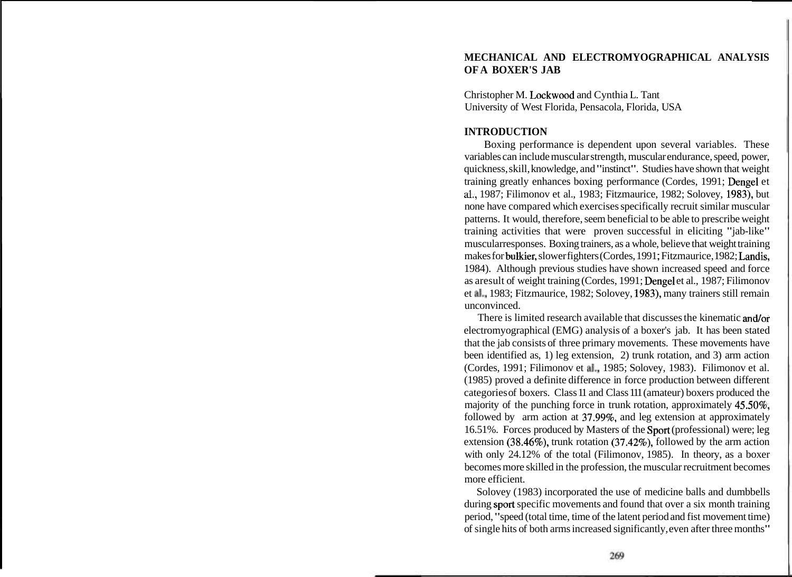# **MECHANICAL AND ELECTROMYOGRAPHICAL ANALYSIS OF A BOXER'S JAB**

Christopher M. Lockwood and Cynthia L. Tant University of West Florida, Pensacola, Florida, USA

## **INTRODUCTION**

Boxing performance is dependent upon several variables. These variables can include muscular strength, muscular endurance, speed, power, quickness, skill, knowledge, and "instinct". Studies have shown that weight training greatly enhances boxing performance (Cordes, 1991; Dengel et **al.,** 1987; Filimonov et al., 1983; Fitzmaurice, 1982; Solovey, 1983), but none have compared which exercises specifically recruit similar muscular patterns. It would, therefore, seem beneficial to be able to prescribe weight training activities that were proven successful in eliciting "jab-like" muscularresponses. Boxing trainers, as a whole, believe that weight training makes for bulkier, slower fighters (Cordes, 1991 ; Fitzmaurice, 1982; Landis, 1984). Although previous studies have shown increased speed and force as aresult of weight training (Cordes, 1991; Dengel et al., 1987; Filimonov et a]., 1983; Fitzmaurice, 1982; Solovey, 1983), many trainers still remain unconvinced.

There is limited research available that discusses the kinematic andlor electromyographical (EMG) analysis of a boxer's jab. It has been stated that the jab consists of three primary movements. These movements have been identified as, 1) leg extension, 2) trunk rotation, and 3) arm action (Cordes, 1991; Filimonov et a]., 1985; Solovey, 1983). Filimonov et al. (1985) proved a definite difference in force production between different categories of boxers. Class 11 and Class 111 (amateur) boxers produced the majority of the punching force in trunk rotation, approximately 45.50%, followed by arm action at 37.99%, and leg extension at approximately 16.51%. Forces produced by Masters of the Sport (professional) were; leg extension (38.46%), trunk rotation (37.42%), followed by the arm action with only 24.12% of the total (Filimonov, 1985). In theory, as a boxer becomes more skilled in the profession, the muscular recruitment becomes more efficient.

Solovey (1983) incorporated the use of medicine balls and dumbbells during sport specific movements and found that over a six month training period, "speed (total time, time of the latent period and fist movement time) of single hits of both arms increased significantly, even after three months"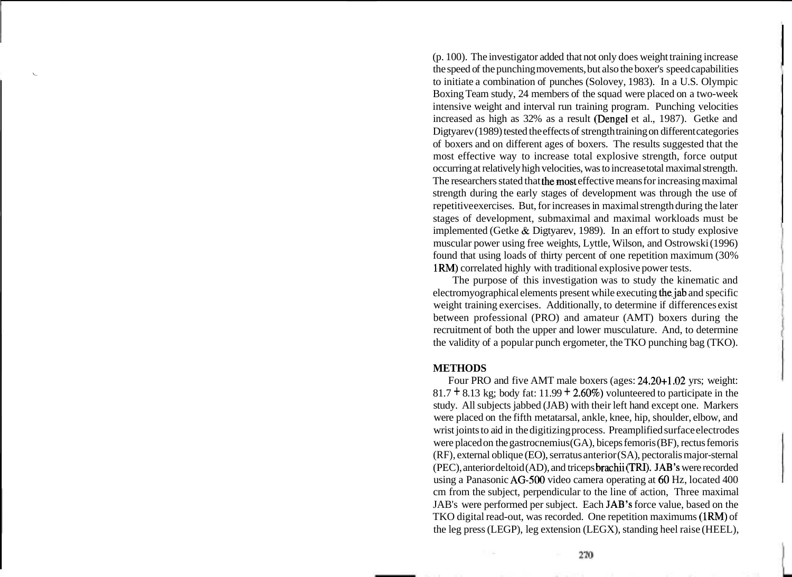(p. 100). The investigator added that not only does weight training increase the speed of the punching movements, but also the boxer's speed capabilities **<sup>i</sup>** to initiate a combination of punches (Solovey, 1983). In a U.S. Olympic Boxing Team study, 24 members of the squad were placed on a two-week intensive weight and interval run training program. Punching velocities increased as high as 32% as a result (Dengel et al., 1987). Getke and Digtyarev (1989) tested the effects of strength training on different categories of boxers and on different ages of boxers. The results suggested that the most effective way to increase total explosive strength, force output occurring at relatively high velocities, was to increase total maximal strength. The researchers stated that the most effective means for increasing maximal strength during the early stages of development was through the use of repetitive exercises. But, for increases in maximal strength during the later stages of development, submaximal and maximal workloads must be implemented (Getke & Digtyarev, 1989). In an effort to study explosive muscular power using free weights, Lyttle, Wilson, and Ostrowski (1996) found that using loads of thirty percent of one repetition maximum (30% 1RM) correlated highly with traditional explosive power tests.

The purpose of this investigation was to study the kinematic and electromyographical elements present while executing the jab and specific weight training exercises. Additionally, to determine if differences exist between professional (PRO) and amateur (AMT) boxers during the recruitment of both the upper and lower musculature. And, to determine the validity of a popular punch ergometer, the TKO punching bag (TKO).

#### **METHODS**

Four PRO and five AMT male boxers (ages: 24.20+1.02 yrs; weight:  $81.7 + 8.13$  kg; body fat: 11.99 + 2.60%) volunteered to participate in the study. All subjects jabbed (JAB) with their left hand except one. Markers were placed on the fifth metatarsal, ankle, knee, hip, shoulder, elbow, and wrist joints to aid in the digitizing process. Preamplified surface electrodes were placed on the gastrocnemius (GA), biceps femoris (BF), rectus femoris  $(RF)$ , external oblique (EO), serratus anterior  $(SA)$ , pectoralis major-sternal (PEC), anterior deltoid (AD), and triceps brachii (TRI). JAB's were recorded using a Panasonic AG-500 video camera operating at 60 Hz, located 400 cm from the subject, perpendicular to the line of action, Three maximal JAB's were performed per subject. Each JAB's force value, based on the TKO digital read-out, was recorded. One repetition maximums (1RM) of the leg press (LEGP), leg extension (LEGX), standing heel raise (HEEL),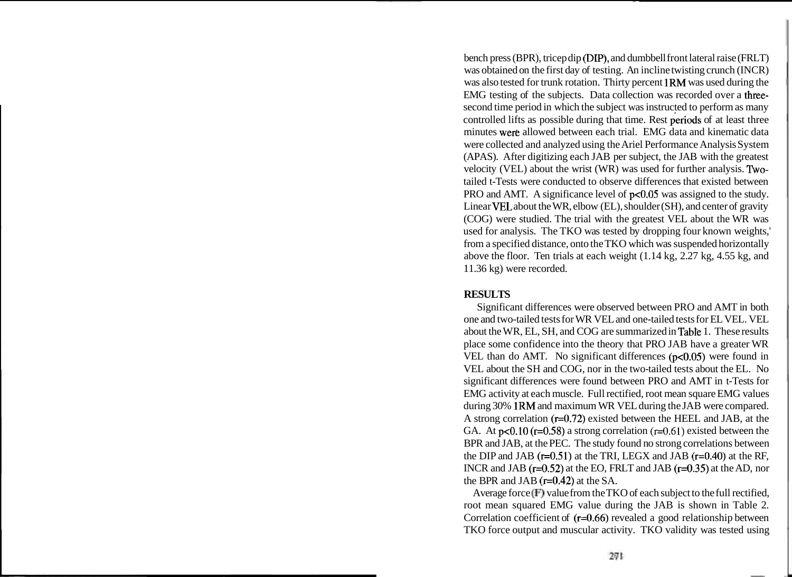bench press (BPR), tricep dip (DLP), and dumbbell front lateral raise (FRLT) was obtained on the first day of testing. An incline twisting crunch (INCR) was also tested for trunk rotation. Thirty percent 1RM was used during the EMG testing of the subjects. Data collection was recorded over a threesecond time period in which the subject was instructed to perform as many controlled lifts as possible during that time. Rest periods of at least three minutes were allowed between each trial. EMG data and kinematic data were collected and analyzed using the Ariel Performance Analysis System (APAS). After digitizing each JAB per subject, the JAB with the greatest velocity (VEL) about the wrist (WR) was used for further analysis. Twotailed t-Tests were conducted to observe differences that existed between PRO and AMT. A significance level of  $p<0.05$  was assigned to the study. Linear VEL about the WR, elbow (EL), shoulder (SH), and center of gravity (COG) were studied. The trial with the greatest VEL about the WR was used for analysis. The TKO was tested by dropping four known weights,' from a specified distance, onto the TKO which was suspended horizontally above the floor. Ten trials at each weight (1.14 kg, 2.27 kg, 4.55 kg, and 11.36 kg) were recorded.

## **RESULTS**

Significant differences were observed between PRO and AMT in both one and two-tailed tests for WR VEL and one-tailed tests for EL VEL. VEL about the WR, EL, SH, and COG are summarized in Table 1. These results place some confidence into the theory that PRO JAB have a greater WR VEL than do AMT. No significant differences  $(p<0.05)$  were found in VEL about the SH and COG, nor in the two-tailed tests about the EL. No significant differences were found between PRO and AMT in t-Tests for EMG activity at each muscle. Full rectified, root mean square EMG values during 30% IRM and maximum WR VEL during the JAB were compared. A strong correlation  $(r=0.72)$  existed between the HEEL and JAB, at the GA. At  $p<0.10$  ( $r=0.58$ ) a strong correlation ( $r=0.61$ ) existed between the BPR and JAB, at the PEC. The study found no strong correlations between the DIP and JAB  $(r=0.51)$  at the TRI, LEGX and JAB  $(r=0.40)$  at the RF, INCR and JAB  $(r=0.52)$  at the EO, FRLT and JAB  $(r=0.35)$  at the AD, nor the BPR and JAB  $(r=0.42)$  at the SA.

Average force **(F)** value from the TKO of each subject to the full rectified, root mean squared EMG value during the JAB is shown in Table 2. Correlation coefficient of  $(r=0.66)$  revealed a good relationship between TKO force output and muscular activity. TKO validity was tested using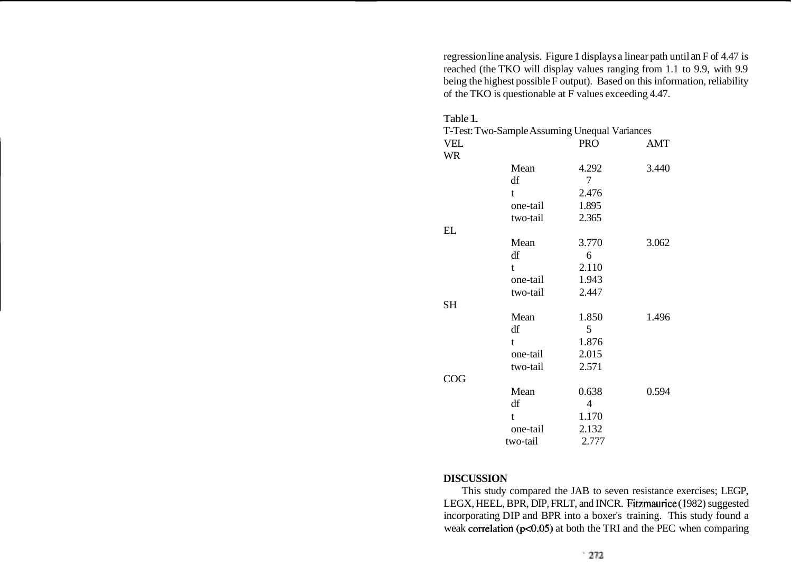regression line analysis. Figure 1 displays a linear path until an F of 4.47 is reached (the TKO will display values ranging from 1.1 to 9.9, with 9.9 being the highest possible F output). Based on this information, reliability of the TKO is questionable at F values exceeding 4.47.

| Table 1.   |              |                                               |       |
|------------|--------------|-----------------------------------------------|-------|
|            |              | T-Test: Two-Sample Assuming Unequal Variances |       |
| <b>VEL</b> |              | <b>PRO</b>                                    | AMT   |
| <b>WR</b>  |              |                                               |       |
|            | Mean         | 4.292                                         | 3.440 |
|            | df           | 7                                             |       |
|            | $\mathbf{t}$ | 2.476                                         |       |
|            | one-tail     | 1.895                                         |       |
|            | two-tail     | 2.365                                         |       |
| EL         |              |                                               |       |
|            | Mean         | 3.770                                         | 3.062 |
|            | df           | 6                                             |       |
|            | $\mathbf{t}$ | 2.110                                         |       |
|            | one-tail     | 1.943                                         |       |
|            | two-tail     | 2.447                                         |       |
| <b>SH</b>  |              |                                               |       |
|            | Mean         | 1.850                                         | 1.496 |
|            | df           | 5                                             |       |
|            | $\mathbf{t}$ | 1.876                                         |       |
|            | one-tail     | 2.015                                         |       |
|            | two-tail     | 2.571                                         |       |
| COG        |              |                                               |       |
|            | Mean         | 0.638                                         | 0.594 |
|            | df           | 4                                             |       |
|            | t            | 1.170                                         |       |
|            | one-tail     | 2.132                                         |       |
|            | two-tail     | 2.777                                         |       |

## **DISCUSSION**

This study compared the JAB to seven resistance exercises; LEGP, LEGX, HEEL, BPR, DIP, FRLT, and INCR. Fitzmaurice (1982) suggested incorporating DIP and BPR into a boxer's training. This study found a weak correlation ( $p<0.05$ ) at both the TRI and the PEC when comparing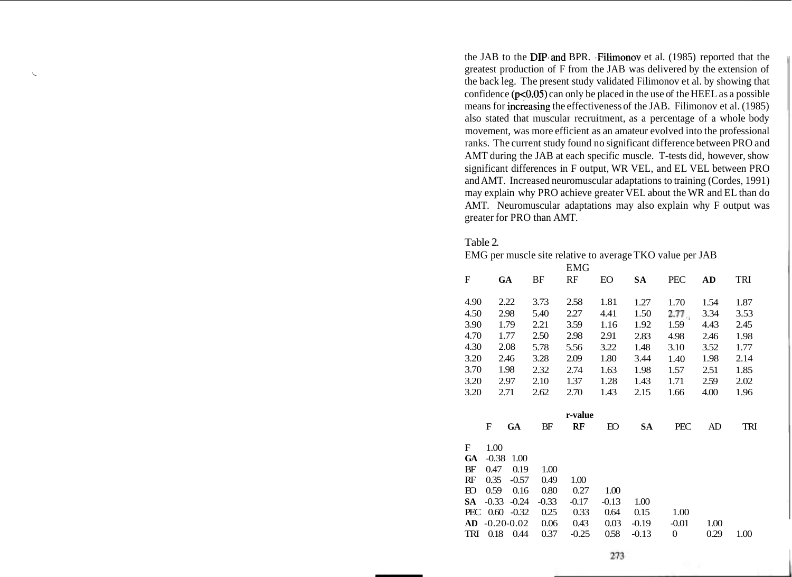the JAB to the DIP.and BPR. .Filimonov et al. (1985) reported that the greatest production of F from the JAB was delivered by the extension of **<sup>i</sup>** the back leg. The present study validated Filimonov et al. by showing that confidence ( $p<0.05$ ) can only be placed in the use of the HEEL as a possible means for increasing the effectiveness of the JAB. Filimonov et al. (1985) also stated that muscular recruitment, as a percentage of a whole body movement, was more efficient as an amateur evolved into the professional ranks. The current study found no significant difference between PRO and AMT during the JAB at each specific muscle. T-tests did, however, show significant differences in F output, WR VEL, and EL VEL between PRO and AMT. Increased neuromuscular adaptations to training (Cordes, 1991) may explain why PRO achieve greater VEL about the WR and EL than do AMT. Neuromuscular adaptations may also explain why F output was greater for PRO than AMT.

#### Table 2.

EMG per muscle site relative to average TKO value per JAB

|           |                |         |         | <b>EMG</b> |         |           |                  |      |      |
|-----------|----------------|---------|---------|------------|---------|-----------|------------------|------|------|
| F         | GA             |         | BF      | RF         | EO      | SА        | <b>PEC</b>       | AD   | TRI  |
|           |                |         |         |            |         |           |                  |      |      |
| 4.90      |                | 2.22    | 3.73    | 2.58       | 1.81    | 1.27      | 1.70             | 1.54 | 1.87 |
| 4.50      |                | 2.98    | 5.40    | 2.27       | 4.41    | 1.50      | 2.77             | 3.34 | 3.53 |
| 3.90      |                | 1.79    | 2.21    | 3.59       | 1.16    | 1.92      | 1.59             | 4.43 | 2.45 |
| 4.70      |                | 1.77    | 2.50    | 2.98       | 2.91    | 2.83      | 4.98             | 2.46 | 1.98 |
| 4.30      |                | 2.08    | 5.78    | 5.56       | 3.22    | 1.48      | 3.10             | 3.52 | 1.77 |
| 3.20      |                | 2.46    | 3.28    | 2.09       | 1.80    | 3.44      | 1.40             | 1.98 | 2.14 |
| 3.70      |                | 1.98    | 2.32    | 2.74       | 1.63    | 1.98      | 1.57             | 2.51 | 1.85 |
| 3.20      |                | 2.97    | 2.10    | 1.37       | 1.28    | 1.43      | 1.71             | 2.59 | 2.02 |
| 3.20      | 2.71           |         | 2.62    | 2.70       | 1.43    | 2.15      | 1.66             | 4.00 | 1.96 |
|           |                |         |         |            |         |           |                  |      |      |
|           |                |         |         | r-value    |         |           |                  |      |      |
|           | F              | GA      | BF      | RF         | Ю       | <b>SA</b> | PEC              | AD   | TRI  |
| F         | 1.00           |         |         |            |         |           |                  |      |      |
| <b>GA</b> | $-0.38$        | 1.00    |         |            |         |           |                  |      |      |
| BF        | 0.47           | 0.19    | 1.00    |            |         |           |                  |      |      |
| RF        | 0.35           | $-0.57$ | 0.49    | 1.00       |         |           |                  |      |      |
| Ю         | 0.59           | 0.16    | 0.80    | 0.27       | 1.00    |           |                  |      |      |
| <b>SA</b> | $-0.33$        | $-0.24$ | $-0.33$ | $-0.17$    | $-0.13$ | 1.00      |                  |      |      |
| PEC       | 0.60           | $-0.32$ | 0.25    | 0.33       | 0.64    | 0.15      | 1.00             |      |      |
| AD        | $-0.20 - 0.02$ |         | 0.06    | 0.43       | 0.03    | $-0.19$   | $-0.01$          | 1.00 |      |
| TRI       | 0.18           | 0.44    | 0.37    | $-0.25$    | 0.58    | $-0.13$   | $\boldsymbol{0}$ | 0.29 | 1.00 |
|           |                |         |         |            |         |           |                  |      |      |

273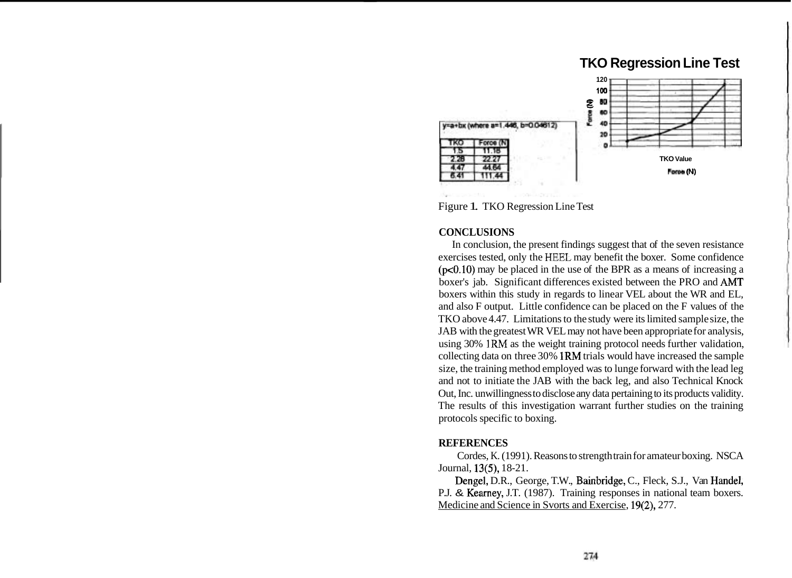# **TKO Regression Line Test**



Figure 1. TKO Regression Line Test

### **CONCLUSIONS**

In conclusion, the present findings suggest that of the seven resistance exercises tested, only the HEEZ may benefit the boxer. Some confidence  $(p<0.10)$  may be placed in the use of the BPR as a means of increasing a boxer's jab. Significant differences existed between the PRO and AMT boxers within this study in regards to linear VEL about the WR and EL, and also F output. Little confidence can be placed on the F values of the TKO above 4.47. Limitations to the study were its limited sample size, the JAB with the greatest WR VEL may not have been appropriate for analysis, using 30% IRM as the weight training protocol needs further validation, collecting data on three 30% 1RM trials would have increased the sample size, the training method employed was to lunge forward with the lead leg and not to initiate the JAB with the back leg, and also Technical Knock Out, Inc. unwillingness to disclose any data pertaining to its products validity. The results of this investigation warrant further studies on the training protocols specific to boxing.

### **REFERENCES**

Cordes, K. (1991). Reasons to strength train for amateur boxing. NSCA Journal, 13(5), 18-21.

Dengel, D.R., George, T.W., Bainbridge, C., Fleck, S.J., Van Handel, P.J. & Kearney, J.T. (1987). Training responses in national team boxers. Medicine and Science in Svorts and Exercise, 19(2), 277.